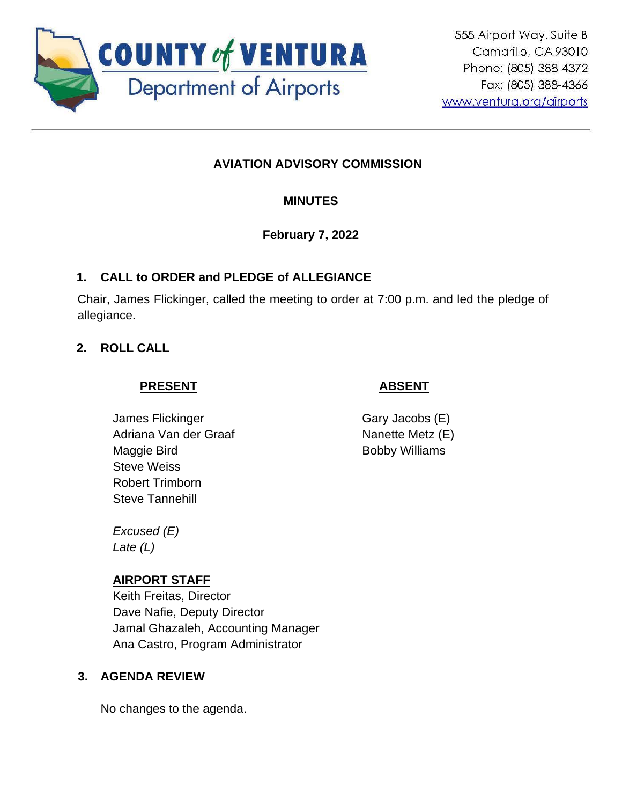

# **AVIATION ADVISORY COMMISSION**

# **MINUTES**

## **February 7, 2022**

## **1. CALL to ORDER and PLEDGE of ALLEGIANCE**

Chair, James Flickinger, called the meeting to order at 7:00 p.m. and led the pledge of allegiance.

## **2. ROLL CALL**

## **PRESENT**

# **ABSENT**

James Flickinger Adriana Van der Graaf Maggie Bird Steve Weiss Robert Trimborn Steve Tannehill

Gary Jacobs (E) Nanette Metz (E) Bobby Williams

*Excused (E) Late (L)*

## **AIRPORT STAFF**

Keith Freitas, Director Dave Nafie, Deputy Director Jamal Ghazaleh, Accounting Manager Ana Castro, Program Administrator

## **3. AGENDA REVIEW**

No changes to the agenda.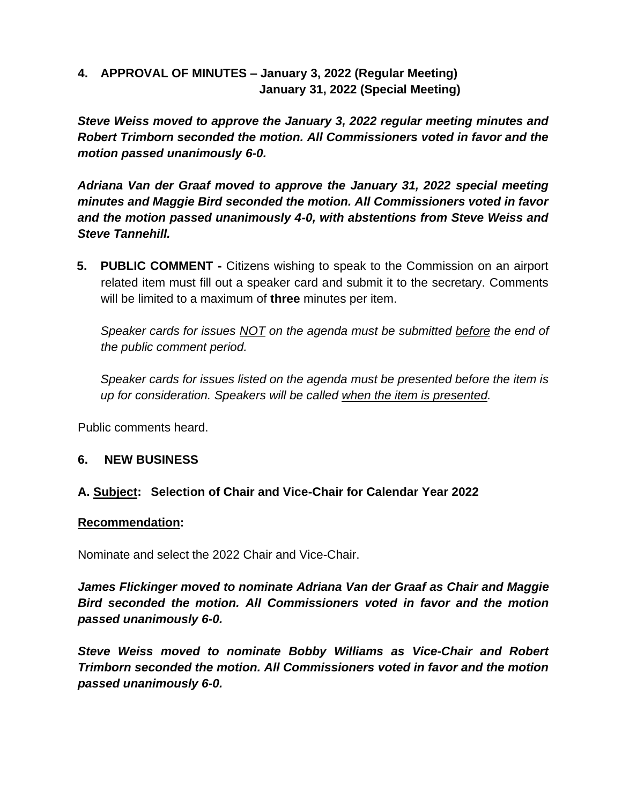## **4. APPROVAL OF MINUTES – January 3, 2022 (Regular Meeting) January 31, 2022 (Special Meeting)**

*Steve Weiss moved to approve the January 3, 2022 regular meeting minutes and Robert Trimborn seconded the motion. All Commissioners voted in favor and the motion passed unanimously 6-0.* 

*Adriana Van der Graaf moved to approve the January 31, 2022 special meeting minutes and Maggie Bird seconded the motion. All Commissioners voted in favor and the motion passed unanimously 4-0, with abstentions from Steve Weiss and Steve Tannehill.*

**5. PUBLIC COMMENT -** Citizens wishing to speak to the Commission on an airport related item must fill out a speaker card and submit it to the secretary. Comments will be limited to a maximum of **three** minutes per item.

*Speaker cards for issues NOT on the agenda must be submitted before the end of the public comment period.* 

*Speaker cards for issues listed on the agenda must be presented before the item is up for consideration. Speakers will be called when the item is presented.*

Public comments heard.

## **6. NEW BUSINESS**

## **A. Subject: Selection of Chair and Vice-Chair for Calendar Year 2022**

### **Recommendation:**

Nominate and select the 2022 Chair and Vice-Chair.

*James Flickinger moved to nominate Adriana Van der Graaf as Chair and Maggie Bird seconded the motion. All Commissioners voted in favor and the motion passed unanimously 6-0.* 

*Steve Weiss moved to nominate Bobby Williams as Vice-Chair and Robert Trimborn seconded the motion. All Commissioners voted in favor and the motion passed unanimously 6-0.*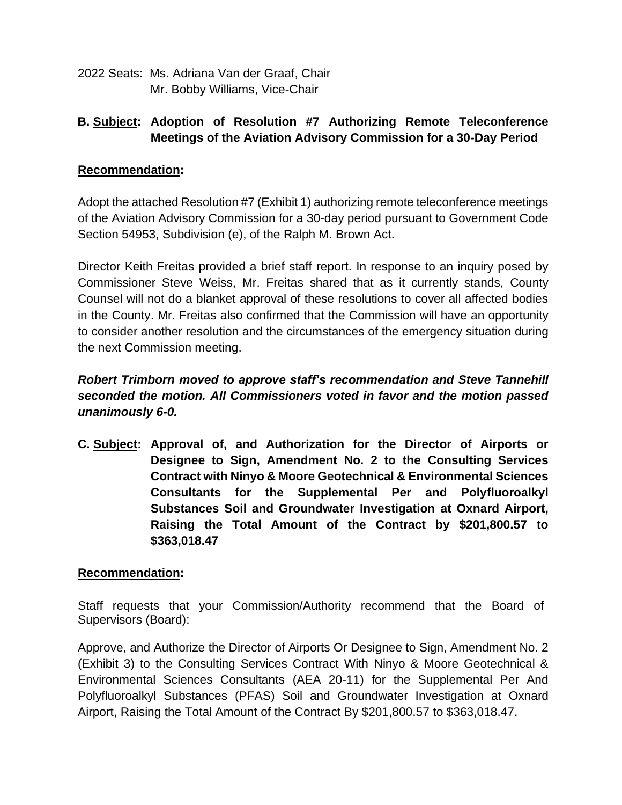2022 Seats: Ms. Adriana Van der Graaf, Chair Mr. Bobby Williams, Vice-Chair

# **B. Subject: Adoption of Resolution #7 Authorizing Remote Teleconference Meetings of the Aviation Advisory Commission for a 30-Day Period**

### **Recommendation:**

Adopt the attached Resolution #7 (Exhibit 1) authorizing remote teleconference meetings of the Aviation Advisory Commission for a 30-day period pursuant to Government Code Section 54953, Subdivision (e), of the Ralph M. Brown Act.

Director Keith Freitas provided a brief staff report. In response to an inquiry posed by Commissioner Steve Weiss, Mr. Freitas shared that as it currently stands, County Counsel will not do a blanket approval of these resolutions to cover all affected bodies in the County. Mr. Freitas also confirmed that the Commission will have an opportunity to consider another resolution and the circumstances of the emergency situation during the next Commission meeting.

# *Robert Trimborn moved to approve staff's recommendation and Steve Tannehill seconded the motion. All Commissioners voted in favor and the motion passed unanimously 6-0.*

**C. Subject: Approval of, and Authorization for the Director of Airports or Designee to Sign, Amendment No. 2 to the Consulting Services Contract with Ninyo & Moore Geotechnical & Environmental Sciences Consultants for the Supplemental Per and Polyfluoroalkyl Substances Soil and Groundwater Investigation at Oxnard Airport, Raising the Total Amount of the Contract by \$201,800.57 to \$363,018.47**

### **Recommendation:**

Staff requests that your Commission/Authority recommend that the Board of Supervisors (Board):

Approve, and Authorize the Director of Airports Or Designee to Sign, Amendment No. 2 (Exhibit 3) to the Consulting Services Contract With Ninyo & Moore Geotechnical & Environmental Sciences Consultants (AEA 20-11) for the Supplemental Per And Polyfluoroalkyl Substances (PFAS) Soil and Groundwater Investigation at Oxnard Airport, Raising the Total Amount of the Contract By \$201,800.57 to \$363,018.47.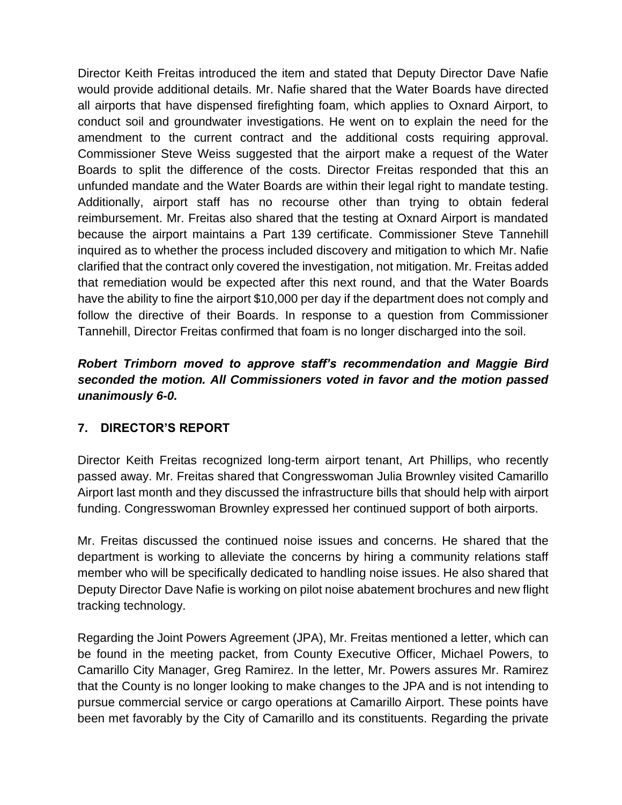Director Keith Freitas introduced the item and stated that Deputy Director Dave Nafie would provide additional details. Mr. Nafie shared that the Water Boards have directed all airports that have dispensed firefighting foam, which applies to Oxnard Airport, to conduct soil and groundwater investigations. He went on to explain the need for the amendment to the current contract and the additional costs requiring approval. Commissioner Steve Weiss suggested that the airport make a request of the Water Boards to split the difference of the costs. Director Freitas responded that this an unfunded mandate and the Water Boards are within their legal right to mandate testing. Additionally, airport staff has no recourse other than trying to obtain federal reimbursement. Mr. Freitas also shared that the testing at Oxnard Airport is mandated because the airport maintains a Part 139 certificate. Commissioner Steve Tannehill inquired as to whether the process included discovery and mitigation to which Mr. Nafie clarified that the contract only covered the investigation, not mitigation. Mr. Freitas added that remediation would be expected after this next round, and that the Water Boards have the ability to fine the airport \$10,000 per day if the department does not comply and follow the directive of their Boards. In response to a question from Commissioner Tannehill, Director Freitas confirmed that foam is no longer discharged into the soil.

# *Robert Trimborn moved to approve staff's recommendation and Maggie Bird seconded the motion. All Commissioners voted in favor and the motion passed unanimously 6-0.*

# **7. DIRECTOR'S REPORT**

Director Keith Freitas recognized long-term airport tenant, Art Phillips, who recently passed away. Mr. Freitas shared that Congresswoman Julia Brownley visited Camarillo Airport last month and they discussed the infrastructure bills that should help with airport funding. Congresswoman Brownley expressed her continued support of both airports.

Mr. Freitas discussed the continued noise issues and concerns. He shared that the department is working to alleviate the concerns by hiring a community relations staff member who will be specifically dedicated to handling noise issues. He also shared that Deputy Director Dave Nafie is working on pilot noise abatement brochures and new flight tracking technology.

Regarding the Joint Powers Agreement (JPA), Mr. Freitas mentioned a letter, which can be found in the meeting packet, from County Executive Officer, Michael Powers, to Camarillo City Manager, Greg Ramirez. In the letter, Mr. Powers assures Mr. Ramirez that the County is no longer looking to make changes to the JPA and is not intending to pursue commercial service or cargo operations at Camarillo Airport. These points have been met favorably by the City of Camarillo and its constituents. Regarding the private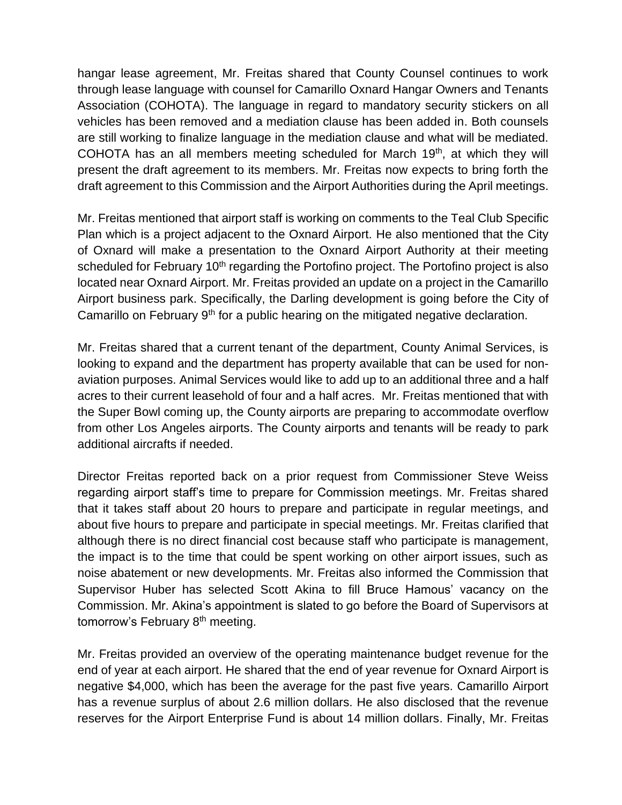hangar lease agreement, Mr. Freitas shared that County Counsel continues to work through lease language with counsel for Camarillo Oxnard Hangar Owners and Tenants Association (COHOTA). The language in regard to mandatory security stickers on all vehicles has been removed and a mediation clause has been added in. Both counsels are still working to finalize language in the mediation clause and what will be mediated. COHOTA has an all members meeting scheduled for March 19th, at which they will present the draft agreement to its members. Mr. Freitas now expects to bring forth the draft agreement to this Commission and the Airport Authorities during the April meetings.

Mr. Freitas mentioned that airport staff is working on comments to the Teal Club Specific Plan which is a project adjacent to the Oxnard Airport. He also mentioned that the City of Oxnard will make a presentation to the Oxnard Airport Authority at their meeting scheduled for February 10<sup>th</sup> regarding the Portofino project. The Portofino project is also located near Oxnard Airport. Mr. Freitas provided an update on a project in the Camarillo Airport business park. Specifically, the Darling development is going before the City of Camarillo on February 9<sup>th</sup> for a public hearing on the mitigated negative declaration.

Mr. Freitas shared that a current tenant of the department, County Animal Services, is looking to expand and the department has property available that can be used for nonaviation purposes. Animal Services would like to add up to an additional three and a half acres to their current leasehold of four and a half acres. Mr. Freitas mentioned that with the Super Bowl coming up, the County airports are preparing to accommodate overflow from other Los Angeles airports. The County airports and tenants will be ready to park additional aircrafts if needed.

Director Freitas reported back on a prior request from Commissioner Steve Weiss regarding airport staff's time to prepare for Commission meetings. Mr. Freitas shared that it takes staff about 20 hours to prepare and participate in regular meetings, and about five hours to prepare and participate in special meetings. Mr. Freitas clarified that although there is no direct financial cost because staff who participate is management, the impact is to the time that could be spent working on other airport issues, such as noise abatement or new developments. Mr. Freitas also informed the Commission that Supervisor Huber has selected Scott Akina to fill Bruce Hamous' vacancy on the Commission. Mr. Akina's appointment is slated to go before the Board of Supervisors at tomorrow's February 8<sup>th</sup> meeting.

Mr. Freitas provided an overview of the operating maintenance budget revenue for the end of year at each airport. He shared that the end of year revenue for Oxnard Airport is negative \$4,000, which has been the average for the past five years. Camarillo Airport has a revenue surplus of about 2.6 million dollars. He also disclosed that the revenue reserves for the Airport Enterprise Fund is about 14 million dollars. Finally, Mr. Freitas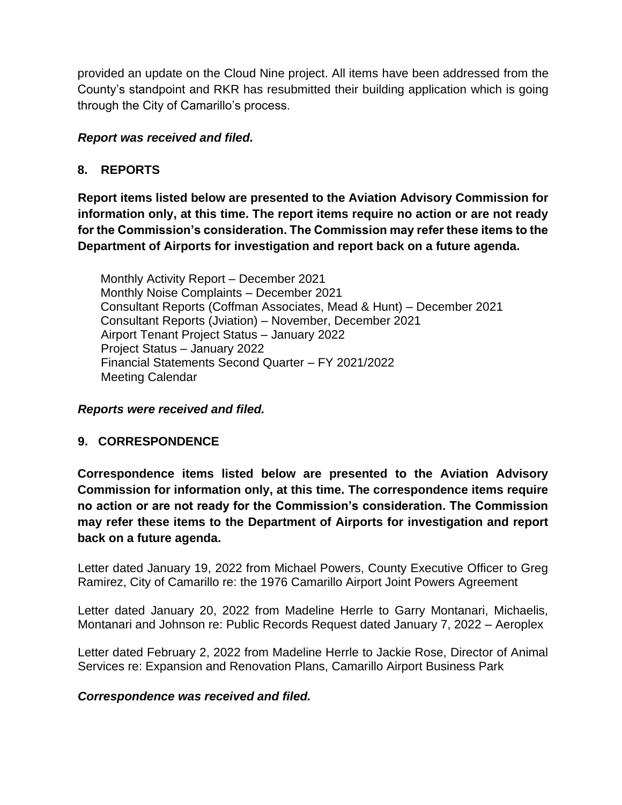provided an update on the Cloud Nine project. All items have been addressed from the County's standpoint and RKR has resubmitted their building application which is going through the City of Camarillo's process.

## *Report was received and filed.*

## **8. REPORTS**

**Report items listed below are presented to the Aviation Advisory Commission for information only, at this time. The report items require no action or are not ready for the Commission's consideration. The Commission may refer these items to the Department of Airports for investigation and report back on a future agenda.** 

Monthly Activity Report – December 2021 Monthly Noise Complaints – December 2021 Consultant Reports (Coffman Associates, Mead & Hunt) – December 2021 Consultant Reports (Jviation) – November, December 2021 Airport Tenant Project Status – January 2022 Project Status – January 2022 Financial Statements Second Quarter – FY 2021/2022 Meeting Calendar

*Reports were received and filed.*

### **9. CORRESPONDENCE**

**Correspondence items listed below are presented to the Aviation Advisory Commission for information only, at this time. The correspondence items require no action or are not ready for the Commission's consideration. The Commission may refer these items to the Department of Airports for investigation and report back on a future agenda.** 

Letter dated January 19, 2022 from Michael Powers, County Executive Officer to Greg Ramirez, City of Camarillo re: the 1976 Camarillo Airport Joint Powers Agreement

Letter dated January 20, 2022 from Madeline Herrle to Garry Montanari, Michaelis, Montanari and Johnson re: Public Records Request dated January 7, 2022 – Aeroplex

Letter dated February 2, 2022 from Madeline Herrle to Jackie Rose, Director of Animal Services re: Expansion and Renovation Plans, Camarillo Airport Business Park

### *Correspondence was received and filed.*